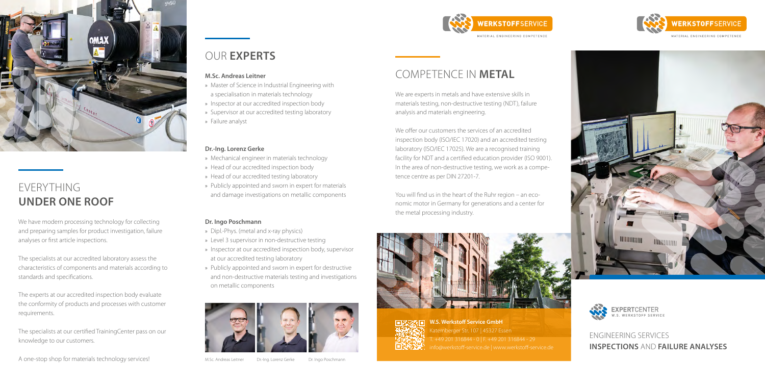### ENGINEERING SERVICES **INSPECTIONS** AND **FAILURE ANALYSES**



We are experts in metals and have extensive skills in materials testing, non-destructive testing (NDT), failure analysis and materials engineering.

**WERKSTOFFSERVICE** 

MATERIAL ENGINEERING COMPETENCE

We offer our customers the services of an accredited inspection body (ISO/IEC 17020) and an accredited testing laboratory (ISO/IEC 17025). We are a recognised training facility for NDT and a certified education provider (ISO 9001). In the area of non-destructive testing, we work as a competence centre as per DIN 27201-7.

You will find us in the heart of the Ruhr region – an economic motor in Germany for generations and a center for the metal processing industry.





**W.S. Werkstoff Service GmbH** Katernberger Str. 107 | 45327 Essen T. +49 201 316844 - 0 | F. +49 201 316844 - 29 **in 24.222**: [info@werkstoff-service.de |](mailto:info@werkstoff-service.de) [www.werkstoff-service.de](https://www.werkstoff-service.de/en/)



MATERIAL ENGINEERING COMPETENCE





### OUR **EXPERTS**

#### **M.Sc. Andreas Leitner**

- » Master of Science in Industrial Engineering with a specialisation in materials technology
- » Inspector at our accredited inspection body
- » Supervisor at our accredited testing laboratory » Failure analyst

#### **Dr.-Ing. Lorenz Gerke**

- » Mechanical engineer in materials technology
- » Head of our accredited inspection body
- » Head of our accredited testing laboratory
- » Publicly appointed and sworn in expert for materials and damage investigations on metallic components

### **Dr. Ingo Poschmann**

- » Dipl.-Phys. (metal and x-ray physics)
- » Level 3 supervisor in non-destructive testing
- » Inspector at our accredited inspection body, supervisor at our accredited testing laboratory
- » Publicly appointed and sworn in expert for destructive and non-destructive materials testing and investigations on metallic components



We have modern processing technology for collecting and preparing samples for product investigation, failure analyses or first article inspections.

The specialists at our accredited laboratory assess the characteristics of components and materials according to standards and specifications.

The experts at our accredited inspection body evaluate the conformity of products and processes with customer requirements.

The specialists at our certified TrainingCenter pass on our knowledge to our customers.

A one-stop shop for materials technology services!<br>
M.S.c. Andreas Leitner Dr.-Ing. Lorenz Gerke Dr. Ingo Poschmann



## EVERYTHING **UNDER ONE ROOF**